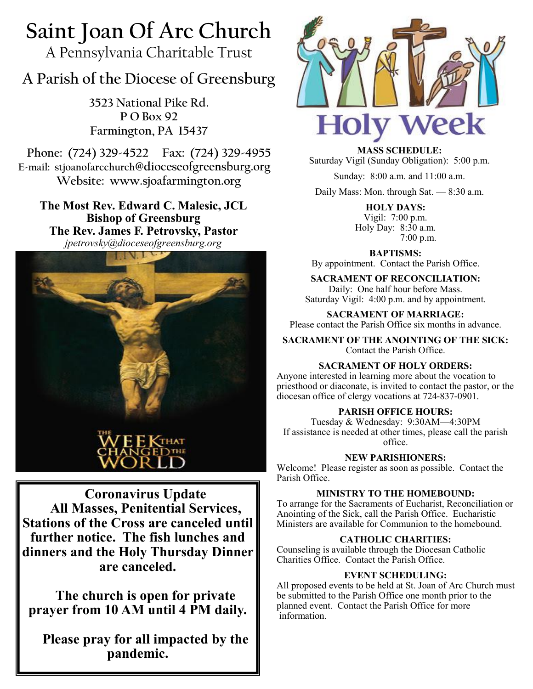# **Saint Joan Of Arc Church**

A Pennsylvania Charitable Trust

# **A Parish of the Diocese of Greensburg**

**3523 National Pike Rd. P O Box 92 Farmington, PA 15437**

**Phone: (724) 329-4522 Fax: (724) 329-4955 E-mail: stjoanofarcchurch@dioceseofgreensburg.org Website: www.sjoafarmington.org**

**The Most Rev. Edward C. Malesic, JCL Bishop of Greensburg The Rev. James F. Petrovsky, Pastor** *jpetrovsky@dioceseofgreensburg.org*



**Coronavirus Update All Masses, Penitential Services, Stations of the Cross are canceled until further notice. The fish lunches and dinners and the Holy Thursday Dinner are canceled.**

**The church is open for private prayer from 10 AM until 4 PM daily.**

**Please pray for all impacted by the pandemic.**



**MASS SCHEDULE:** Saturday Vigil (Sunday Obligation): 5:00 p.m.

Sunday: 8:00 a.m. and 11:00 a.m.

Daily Mass: Mon. through Sat. — 8:30 a.m.

**HOLY DAYS:** Vigil: 7:00 p.m. Holy Day: 8:30 a.m. 7:00 p.m.

**BAPTISMS:**  By appointment. Contact the Parish Office.

**SACRAMENT OF RECONCILIATION:** Daily: One half hour before Mass. Saturday Vigil: 4:00 p.m. and by appointment.

**SACRAMENT OF MARRIAGE:** Please contact the Parish Office six months in advance.

**SACRAMENT OF THE ANOINTING OF THE SICK:** Contact the Parish Office.

# **SACRAMENT OF HOLY ORDERS:**

Anyone interested in learning more about the vocation to priesthood or diaconate, is invited to contact the pastor, or the diocesan office of clergy vocations at 724-837-0901.

# **PARISH OFFICE HOURS:**

Tuesday & Wednesday: 9:30AM—4:30PM If assistance is needed at other times, please call the parish office.

**NEW PARISHIONERS:**

Welcome! Please register as soon as possible. Contact the Parish Office.

# **MINISTRY TO THE HOMEBOUND:**

To arrange for the Sacraments of Eucharist, Reconciliation or Anointing of the Sick, call the Parish Office. Eucharistic Ministers are available for Communion to the homebound.

# **CATHOLIC CHARITIES:**

Counseling is available through the Diocesan Catholic Charities Office. Contact the Parish Office.

# **EVENT SCHEDULING:**

All proposed events to be held at St. Joan of Arc Church must be submitted to the Parish Office one month prior to the planned event. Contact the Parish Office for more information.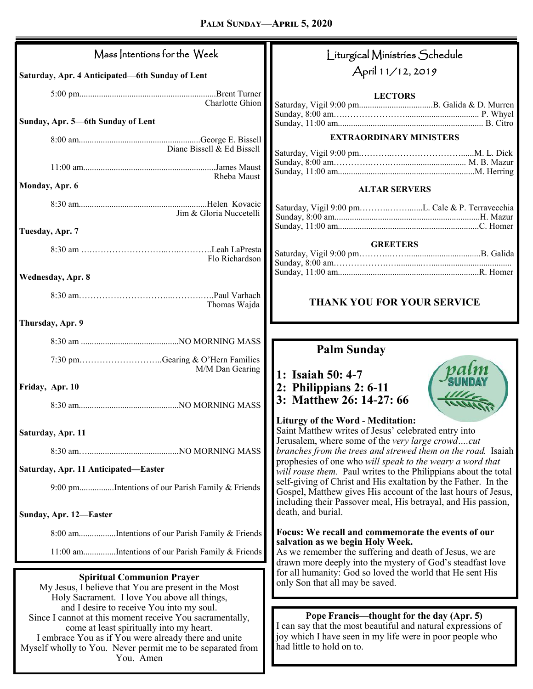| Mass Intentions for the Week                                                                                                                                                                                                                                                         | Liturgical Ministries Schedule                                                                                                                                                                     |  |
|--------------------------------------------------------------------------------------------------------------------------------------------------------------------------------------------------------------------------------------------------------------------------------------|----------------------------------------------------------------------------------------------------------------------------------------------------------------------------------------------------|--|
| Saturday, Apr. 4 Anticipated-6th Sunday of Lent                                                                                                                                                                                                                                      | April 11/12, 2019                                                                                                                                                                                  |  |
| Charlotte Ghion                                                                                                                                                                                                                                                                      | <b>LECTORS</b>                                                                                                                                                                                     |  |
| Sunday, Apr. 5-6th Sunday of Lent                                                                                                                                                                                                                                                    |                                                                                                                                                                                                    |  |
| Diane Bissell $\&$ Ed Bissell                                                                                                                                                                                                                                                        | <b>EXTRAORDINARY MINISTERS</b>                                                                                                                                                                     |  |
| Rheba Maust<br>Monday, Apr. 6                                                                                                                                                                                                                                                        |                                                                                                                                                                                                    |  |
|                                                                                                                                                                                                                                                                                      | <b>ALTAR SERVERS</b>                                                                                                                                                                               |  |
| Jim & Gloria Nuccetelli                                                                                                                                                                                                                                                              |                                                                                                                                                                                                    |  |
| Tuesday, Apr. 7                                                                                                                                                                                                                                                                      | <b>GREETERS</b>                                                                                                                                                                                    |  |
| Flo Richardson                                                                                                                                                                                                                                                                       |                                                                                                                                                                                                    |  |
| Wednesday, Apr. 8                                                                                                                                                                                                                                                                    |                                                                                                                                                                                                    |  |
| Thomas Wajda                                                                                                                                                                                                                                                                         | THANK YOU FOR YOUR SERVICE                                                                                                                                                                         |  |
| Thursday, Apr. 9                                                                                                                                                                                                                                                                     |                                                                                                                                                                                                    |  |
|                                                                                                                                                                                                                                                                                      | <b>Palm Sunday</b>                                                                                                                                                                                 |  |
| 7:30 pmGearing & O'Hern Families<br>M/M Dan Gearing                                                                                                                                                                                                                                  | 1: Isaiah 50: 4-7                                                                                                                                                                                  |  |
| Friday, Apr. 10                                                                                                                                                                                                                                                                      | 2: Philippians $2: 6-11$<br>3: Matthew 26: 14-27: 66                                                                                                                                               |  |
|                                                                                                                                                                                                                                                                                      |                                                                                                                                                                                                    |  |
| Saturday, Apr. 11                                                                                                                                                                                                                                                                    | <b>Liturgy of the Word - Meditation:</b><br>Saint Matthew writes of Jesus' celebrated entry into<br>Jerusalem, where some of the very large crowdcut                                               |  |
|                                                                                                                                                                                                                                                                                      | branches from the trees and strewed them on the road. Isaiah<br>prophesies of one who will speak to the weary a word that                                                                          |  |
| Saturday, Apr. 11 Anticipated-Easter                                                                                                                                                                                                                                                 | will rouse them. Paul writes to the Philippians about the total<br>self-giving of Christ and His exaltation by the Father. In the                                                                  |  |
| 9:00 pmIntentions of our Parish Family & Friends                                                                                                                                                                                                                                     | Gospel, Matthew gives His account of the last hours of Jesus,<br>including their Passover meal, His betrayal, and His passion,                                                                     |  |
| Sunday, Apr. 12-Easter                                                                                                                                                                                                                                                               | death, and burial.                                                                                                                                                                                 |  |
| 8:00 amIntentions of our Parish Family & Friends                                                                                                                                                                                                                                     | Focus: We recall and commemorate the events of our<br>salvation as we begin Holy Week.                                                                                                             |  |
| 11:00 amIntentions of our Parish Family & Friends                                                                                                                                                                                                                                    | As we remember the suffering and death of Jesus, we are<br>drawn more deeply into the mystery of God's steadfast love                                                                              |  |
| <b>Spiritual Communion Prayer</b><br>My Jesus, I believe that You are present in the Most<br>Holy Sacrament. I love You above all things,                                                                                                                                            | for all humanity: God so loved the world that He sent His<br>only Son that all may be saved.                                                                                                       |  |
| and I desire to receive You into my soul.<br>Since I cannot at this moment receive You sacramentally,<br>come at least spiritually into my heart.<br>I embrace You as if You were already there and unite<br>Myself wholly to You. Never permit me to be separated from<br>You. Amen | Pope Francis—thought for the day (Apr. 5)<br>I can say that the most beautiful and natural expressions of<br>joy which I have seen in my life were in poor people who<br>had little to hold on to. |  |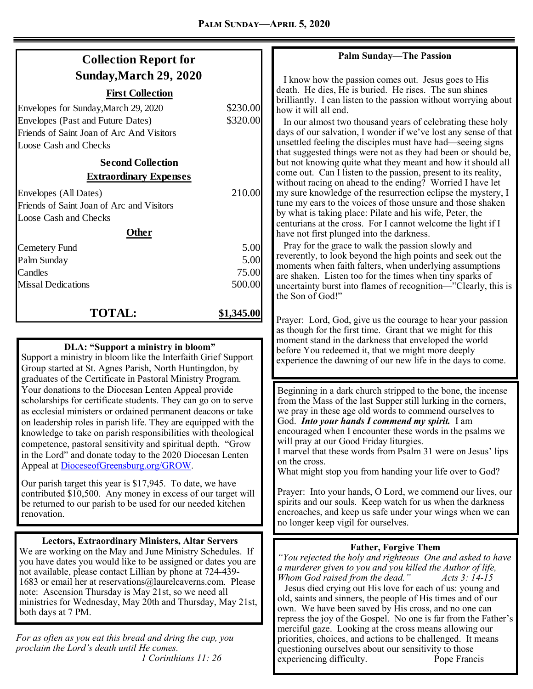| <b>Collection Report for</b>              |            |
|-------------------------------------------|------------|
| Sunday, March 29, 2020                    |            |
| <b>First Collection</b>                   |            |
| Envelopes for Sunday, March 29, 2020      | \$230.00   |
| <b>Envelopes (Past and Future Dates)</b>  | \$320.00   |
| Friends of Saint Joan of Arc And Visitors |            |
| <b>Loose Cash and Checks</b>              |            |
| <b>Second Collection</b>                  |            |
| <b>Extraordinary Expenses</b>             |            |
| Envelopes (All Dates)                     | 210.00     |
| Friends of Saint Joan of Arc and Visitors |            |
| <b>Loose Cash and Checks</b>              |            |
| Other                                     |            |
| Cemetery Fund                             | 5.00       |
| Palm Sunday                               | 5.00       |
| Candles                                   | 75.00      |
| <b>Missal Dedications</b>                 | 500.00     |
| <b>TOTAL:</b>                             | \$1,345.00 |

#### **DLA: "Support a ministry in bloom"**

Support a ministry in bloom like the Interfaith Grief Support Group started at St. Agnes Parish, North Huntingdon, by graduates of the Certificate in Pastoral Ministry Program. Your donations to the Diocesan Lenten Appeal provide scholarships for certificate students. They can go on to serve as ecclesial ministers or ordained permanent deacons or take on leadership roles in parish life. They are equipped with the knowledge to take on parish responsibilities with theological competence, pastoral sensitivity and spiritual depth. "Grow in the Lord" and donate today to the 2020 Diocesan Lenten Appeal at [DioceseofGreensburg.org/GROW.](http://www.dioceseofgreensburg.org/GROW) 

Our parish target this year is \$17,945. To date, we have contributed \$10,500. Any money in excess of our target will be returned to our parish to be used for our needed kitchen renovation.

#### **Lectors, Extraordinary Ministers, Altar Servers**

We are working on the May and June Ministry Schedules. If you have dates you would like to be assigned or dates you are not available, please contact Lillian by phone at 724-439- 1683 or email her at reservations@laurelcaverns.com. Please note: Ascension Thursday is May 21st, so we need all ministries for Wednesday, May 20th and Thursday, May 21st, both days at 7 PM.

*For as often as you eat this bread and dring the cup, you proclaim the Lord's death until He comes. 1 Corinthians 11: 26*

#### **Palm Sunday—The Passion**

 I know how the passion comes out. Jesus goes to His death. He dies, He is buried. He rises. The sun shines brilliantly. I can listen to the passion without worrying about how it will all end.

 In our almost two thousand years of celebrating these holy days of our salvation, I wonder if we've lost any sense of that unsettled feeling the disciples must have had—seeing signs that suggested things were not as they had been or should be, but not knowing quite what they meant and how it should all come out. Can I listen to the passion, present to its reality, without racing on ahead to the ending? Worried I have let my sure knowledge of the resurrection eclipse the mystery, I tune my ears to the voices of those unsure and those shaken by what is taking place: Pilate and his wife, Peter, the centurians at the cross. For I cannot welcome the light if I have not first plunged into the darkness.

 Pray for the grace to walk the passion slowly and reverently, to look beyond the high points and seek out the moments when faith falters, when underlying assumptions are shaken. Listen too for the times when tiny sparks of uncertainty burst into flames of recognition—"Clearly, this is the Son of God!"

Prayer: Lord, God, give us the courage to hear your passion as though for the first time. Grant that we might for this moment stand in the darkness that enveloped the world before You redeemed it, that we might more deeply experience the dawning of our new life in the days to come.

Beginning in a dark church stripped to the bone, the incense from the Mass of the last Supper still lurking in the corners, we pray in these age old words to commend ourselves to God. *Into your hands I commend my spirit.* I am encouraged when I encounter these words in the psalms we will pray at our Good Friday liturgies.

I marvel that these words from Psalm 31 were on Jesus' lips on the cross.

What might stop you from handing your life over to God?

Prayer: Into your hands, O Lord, we commend our lives, our spirits and our souls. Keep watch for us when the darkness encroaches, and keep us safe under your wings when we can no longer keep vigil for ourselves.

#### **Father, Forgive Them**

*"You rejected the holy and righteous One and asked to have a murderer given to you and you killed the Author of life, Whom God raised from the dead." Acts 3: 14-15*

 Jesus died crying out His love for each of us: young and old, saints and sinners, the people of His times and of our own. We have been saved by His cross, and no one can repress the joy of the Gospel. No one is far from the Father's merciful gaze. Looking at the cross means allowing our priorities, choices, and actions to be challenged. It means questioning ourselves about our sensitivity to those experiencing difficulty. Pope Francis